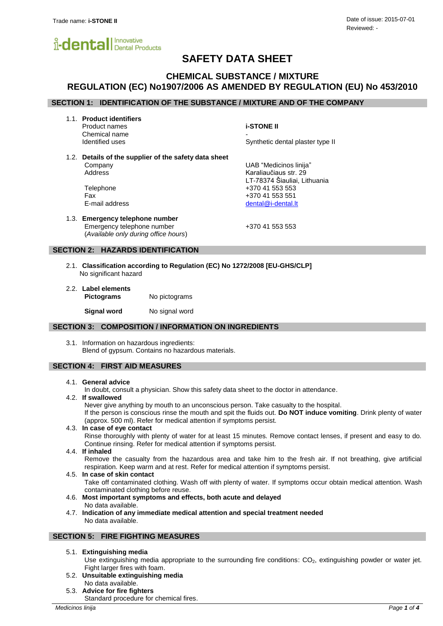

# **SAFETY DATA SHEET**

# **CHEMICAL SUBSTANCE / MIXTURE REGULATION (EC) No1907/2006 AS AMENDED BY REGULATION (EU) No 453/2010**

# **SECTION 1: IDENTIFICATION OF THE SUBSTANCE / MIXTURE AND OF THE COMPANY**

1.1. **Product identifiers**

Product names **i-STONE II** Chemical name<br>Identified uses

Synthetic dental plaster type II

LT-78374 Šiauliai, Lithuania

1.2. **Details of the supplier of the safety data sheet** Company UAB "Medicinos linija" Address Karaliaučiaus str. 29

Telephone +370 41 553 553 Fax +370 41 553 551 E-mail address dental and the set of the dental of the dental of the dental. It

1.3. **Emergency telephone number** Emergency telephone number +370 41 553 553 (*Available only during office hours*)

## **SECTION 2: HAZARDS IDENTIFICATION**

- 2.1. **Classification according to Regulation (EC) No 1272/2008 [EU-GHS/CLP]** No significant hazard
- 2.2. **Label elements Pictograms** No pictograms

**Signal word** No signal word

#### **SECTION 3: COMPOSITION / INFORMATION ON INGREDIENTS**

3.1. Information on hazardous ingredients: Blend of gypsum. Contains no hazardous materials.

## **SECTION 4: FIRST AID MEASURES**

#### 4.1. **General advice**

In doubt, consult a physician. Show this safety data sheet to the doctor in attendance.

4.2. **If swallowed**

Never give anything by mouth to an unconscious person. Take casualty to the hospital. If the person is conscious rinse the mouth and spit the fluids out. **Do NOT induce vomiting**. Drink plenty of water (approx. 500 ml). Refer for medical attention if symptoms persist.

4.3. **In case of eye contact** Rinse thoroughly with plenty of water for at least 15 minutes. Remove contact lenses, if present and easy to do.

Continue rinsing. Refer for medical attention if symptoms persist.

4.4. **If inhaled**

Remove the casualty from the hazardous area and take him to the fresh air. If not breathing, give artificial respiration. Keep warm and at rest. Refer for medical attention if symptoms persist.

4.5. **In case of skin contact**

Take off contaminated clothing. Wash off with plenty of water. If symptoms occur obtain medical attention. Wash contaminated clothing before reuse.

- 4.6. **Most important symptoms and effects, both acute and delayed** No data available.
- 4.7. **Indication of any immediate medical attention and special treatment needed** No data available.

#### **SECTION 5: FIRE FIGHTING MEASURES**

5.1. **Extinguishing media**

Use extinguishing media appropriate to the surrounding fire conditions: CO<sub>2</sub>, extinguishing powder or water jet. Fight larger fires with foam.

- 5.2. **Unsuitable extinguishing media** No data available.
- 5.3. **Advice for fire fighters**

Standard procedure for chemical fires.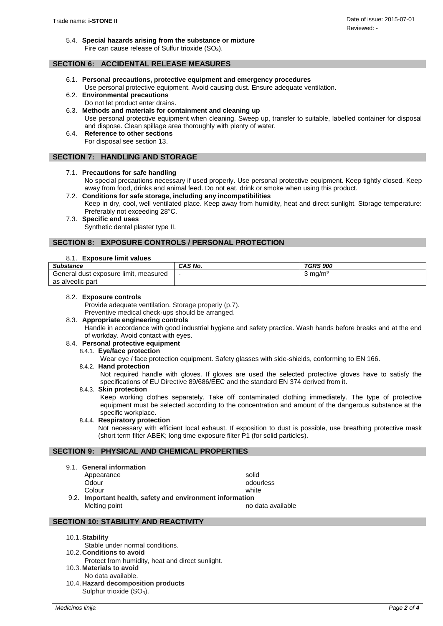5.4. **Special hazards arising from the substance or mixture** Fire can cause release of Sulfur trioxide  $(SO<sub>3</sub>)$ .

## **SECTION 6: ACCIDENTAL RELEASE MEASURES**

- 6.1. **Personal precautions, protective equipment and emergency procedures** Use personal protective equipment. Avoid causing dust. Ensure adequate ventilation.
- 6.2. **Environmental precautions** Do not let product enter drains.
- 6.3. **Methods and materials for containment and cleaning up** Use personal protective equipment when cleaning. Sweep up, transfer to suitable, labelled container for disposal and dispose. Clean spillage area thoroughly with plenty of water.
	- 6.4. **Reference to other sections** For disposal see section 13.

## **SECTION 7: HANDLING AND STORAGE**

## 7.1. **Precautions for safe handling**

No special precautions necessary if used properly. Use personal protective equipment. Keep tightly closed. Keep away from food, drinks and animal feed. Do not eat, drink or smoke when using this product.

- 7.2. **Conditions for safe storage, including any incompatibilities** Keep in dry, cool, well ventilated place. Keep away from humidity, heat and direct sunlight. Storage temperature: Preferably not exceeding 28°C.
- 7.3. **Specific end uses**

Synthetic dental plaster type II.

# **SECTION 8: EXPOSURE CONTROLS / PERSONAL PROTECTION**

#### 8.1. **Exposure limit values**

| <b>Substance</b>                         | CAS No.                  | <b>TGRS 900</b>    |
|------------------------------------------|--------------------------|--------------------|
| General dust exposure limit.<br>measured | $\overline{\phantom{a}}$ | $3 \text{ ma/m}^3$ |
| as alveolic part                         |                          |                    |

#### 8.2. **Exposure controls**

Provide adequate ventilation. Storage properly (p.7).

Preventive medical check-ups should be arranged.

# 8.3. **Appropriate engineering controls**

Handle in accordance with good industrial hygiene and safety practice. Wash hands before breaks and at the end of workday. Avoid contact with eyes.

## 8.4. **Personal protective equipment**

8.4.1. **Eye/face protection**

Wear eye / face protection equipment. Safety glasses with side-shields, conforming to EN 166.

#### 8.4.2. **Hand protection**

Not required handle with gloves. If gloves are used the selected protective gloves have to satisfy the specifications of EU Directive 89/686/EEC and the standard EN 374 derived from it.

## 8.4.3. **Skin protection**

Keep working clothes separately. Take off contaminated clothing immediately. The type of protective equipment must be selected according to the concentration and amount of the dangerous substance at the specific workplace.

## 8.4.4. **Respiratory protection**

Not necessary with efficient local exhaust. If exposition to dust is possible, use breathing protective mask (short term filter ABEK; long time exposure filter P1 (for solid particles).

## **SECTION 9: PHYSICAL AND CHEMICAL PROPERTIES**

- 9.1. **General information**
	- Appearance solid
		- Odour odourless odourless

Colour white

9.2. **Important health, safety and environment information**  Melting point no data available

# **SECTION 10: STABILITY AND REACTIVITY**

- 10.1.**Stability**
- Stable under normal conditions. 10.2. **Conditions to avoid**
- Protect from humidity, heat and direct sunlight.
- 10.3. **Materials to avoid**
	- No data available.
- 10.4. **Hazard decomposition products** Sulphur trioxide  $(SO_3)$ .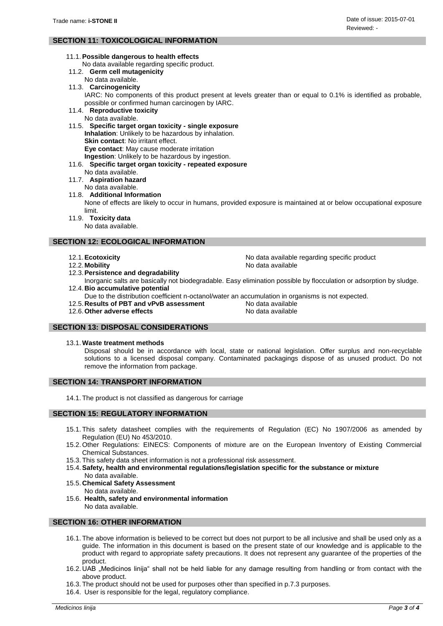# **SECTION 11: TOXICOLOGICAL INFORMATION**

- 11.1.**Possible dangerous to health effects**
	- No data available regarding specific product.
- 11.2. **Germ cell mutagenicity**
- No data available.
- 11.3. **Carcinogenicity**

IARC: No components of this product present at levels greater than or equal to 0.1% is identified as probable, possible or confirmed human carcinogen by IARC.

- 11.4. **Reproductive toxicity**
	- No data available.

11.5. **Specific target organ toxicity - single exposure Inhalation**: Unlikely to be hazardous by inhalation. **Skin contact:** No irritant effect. **Eye contact**: May cause moderate irritation **Ingestion**: Unlikely to be hazardous by ingestion.

- 11.6. **Specific target organ toxicity - repeated exposure**
	- No data available.
- 11.7. **Aspiration hazard**
	- No data available.
- 11.8. **Additional Information**

None of effects are likely to occur in humans, provided exposure is maintained at or below occupational exposure limit.

11.9. **Toxicity data**

No data available.

## **SECTION 12: ECOLOGICAL INFORMATION**

- 12.1.**Ecotoxicity** No data available regarding specific product
- 12.2. Mobility **No. 2.2.** Mobility **No. 2.2.** Mobility
- 12.3.**Persistence and degradability**

Inorganic salts are basically not biodegradable. Easy elimination possible by flocculation or adsorption by sludge. 12.4.**Bio accumulative potential**

- Due to the distribution coefficient n-octanol/water an accumulation in organisms is not expected.
- 12.5. **Results of PBT and vPvB assessment** No data available
- 12.6. Other adverse effects **No. 2.5. Except** 12.6. Other adverse effects

# **SECTION 13: DISPOSAL CONSIDERATIONS**

#### 13.1. **Waste treatment methods**

Disposal should be in accordance with local, state or national legislation. Offer surplus and non-recyclable solutions to a licensed disposal company. Contaminated packagings dispose of as unused product. Do not remove the information from package.

#### **SECTION 14: TRANSPORT INFORMATION**

14.1. The product is not classified as dangerous for carriage

## **SECTION 15: REGULATORY INFORMATION**

- 15.1. This safety datasheet complies with the requirements of Regulation (EC) No 1907/2006 as amended by Regulation (EU) No 453/2010.
- 15.2. Other Regulations: EINECS: Components of mixture are on the European Inventory of Existing Commercial Chemical Substances.
- 15.3. This safety data sheet information is not a professional risk assessment.
- 15.4.**Safety, health and environmental regulations/legislation specific for the substance or mixture**
- No data available. 15.5. **Chemical Safety Assessment**
- No data available.
- 15.6. **Health, safety and environmental information** No data available.

#### **SECTION 16: OTHER INFORMATION**

- 16.1. The above information is believed to be correct but does not purport to be all inclusive and shall be used only as a guide. The information in this document is based on the present state of our knowledge and is applicable to the product with regard to appropriate safety precautions. It does not represent any guarantee of the properties of the product.
- 16.2. UAB "Medicinos linija" shall not be held liable for any damage resulting from handling or from contact with the above product.
- 16.3. The product should not be used for purposes other than specified in p.7.3 purposes.
- 16.4. User is responsible for the legal, regulatory compliance.